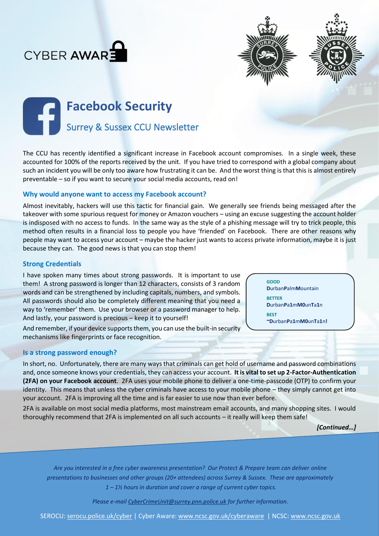





# **Facebook Security** Surrey & Sussex CCU Newsletter

The CCU has recently identified a significant increase in Facebook account compromises. In a single week, these accounted for 100% of the reports received by the unit. If you have tried to correspond with a global company about such an incident you will be only too aware how frustrating it can be. And the worst thing is that this is almost entirely preventable – so if you want to secure your social media accounts, read on!

### **Why would anyone want to access my Facebook account?**

Almost inevitably, hackers will use this tactic for financial gain. We generally see friends being messaged after the takeover with some spurious request for money or Amazon vouchers – using an excuse suggesting the account holder is indisposed with no access to funds. In the same way as the style of a phishing message will try to trick people, this method often results in a financial loss to people you have 'friended' on Facebook. There are other reasons why people may want to access your account – maybe the hacker just wants to access private information, maybe it is just because they can. The good news is that you can stop them!

## **Strong Credentials**

I have spoken many times about strong passwords. It is important to use them! A strong password is longer than 12 characters, consists of 3 random words and can be strengthened by including capitals, numbers, and symbols. All passwords should also be completely different meaning that you need a way to 'remember' them. Use your browser or a password manager to help. And lastly, your password is precious – keep it to yourself!

**D**urban**P**a**1**m**M0**un**T**a**1**n **BEST ~D**urban**P**a**1**m**M0**un**T**a**1**n**!**

**GOOD**

**BETTER**

**D**urban**P**alm**M**ountain

And remember, if your device supports them, you can use the built-in security mechanisms like fingerprints or face recognition.

#### **Is a strong password enough?**

In short, no. Unfortunately, there are many ways that criminals can get hold of username and password combinations and, once someone knows your credentials, they can access your account. **It is vital to set up 2-Factor-Authentication (2FA) on your Facebook account**. 2FA uses your mobile phone to deliver a one-time-passcode (OTP) to confirm your identity. This means that unless the cyber criminals have access to your mobile phone – they simply cannot get into your account. 2FA is improving all the time and is far easier to use now than ever before.

2FA is available on most social media platforms, most mainstream email accounts, and many shopping sites. I would thoroughly recommend that 2FA is implemented on all such accounts – it really will keep them safe!

*[Continued…]*

*Are you interested in a free cyber awareness presentation? Our Protect & Prepare team can deliver online presentations to businesses and other groups (20+ attendees) across Surrey & Sussex. These are approximately 1 – 1½ hours in duration and cover a range of current cyber topics.* 

*Please e-mail [CyberCrimeUnit@surrey.pnn.police.uk](mailto:CyberCrimeUnit@surrey.pnn.police.uk) for further information.*